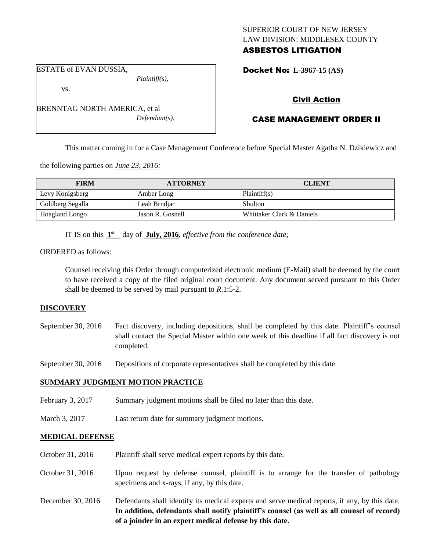# SUPERIOR COURT OF NEW JERSEY LAW DIVISION: MIDDLESEX COUNTY

## ASBESTOS LITIGATION

ESTATE of EVAN DUSSIA,

vs.

*Plaintiff(s),*

BRENNTAG NORTH AMERICA, et al *Defendant(s).* Docket No: **L-3967-15 (AS)** 

## Civil Action

## CASE MANAGEMENT ORDER II

This matter coming in for a Case Management Conference before Special Master Agatha N. Dzikiewicz and

the following parties on *June 23, 2016:*

| <b>FIRM</b>      | <b>ATTORNEY</b>  | <b>CLIENT</b>             |
|------------------|------------------|---------------------------|
| Levy Konigsberg  | Amber Long       | Plaintiff(s)              |
| Goldberg Segalla | Leah Brndjar     | Shulton                   |
| Hoagland Longo   | Jason R. Gosnell | Whittaker Clark & Daniels |

IT IS on this  $1<sup>st</sup>$  day of July, 2016, *effective from the conference date*;

ORDERED as follows:

Counsel receiving this Order through computerized electronic medium (E-Mail) shall be deemed by the court to have received a copy of the filed original court document. Any document served pursuant to this Order shall be deemed to be served by mail pursuant to *R*.1:5-2.

## **DISCOVERY**

September 30, 2016 Fact discovery, including depositions, shall be completed by this date. Plaintiff's counsel shall contact the Special Master within one week of this deadline if all fact discovery is not completed.

September 30, 2016 Depositions of corporate representatives shall be completed by this date.

## **SUMMARY JUDGMENT MOTION PRACTICE**

- February 3, 2017 Summary judgment motions shall be filed no later than this date.
- March 3, 2017 Last return date for summary judgment motions.

## **MEDICAL DEFENSE**

- October 31, 2016 Plaintiff shall serve medical expert reports by this date.
- October 31, 2016 Upon request by defense counsel, plaintiff is to arrange for the transfer of pathology specimens and x-rays, if any, by this date.
- December 30, 2016 Defendants shall identify its medical experts and serve medical reports, if any, by this date. **In addition, defendants shall notify plaintiff's counsel (as well as all counsel of record) of a joinder in an expert medical defense by this date.**